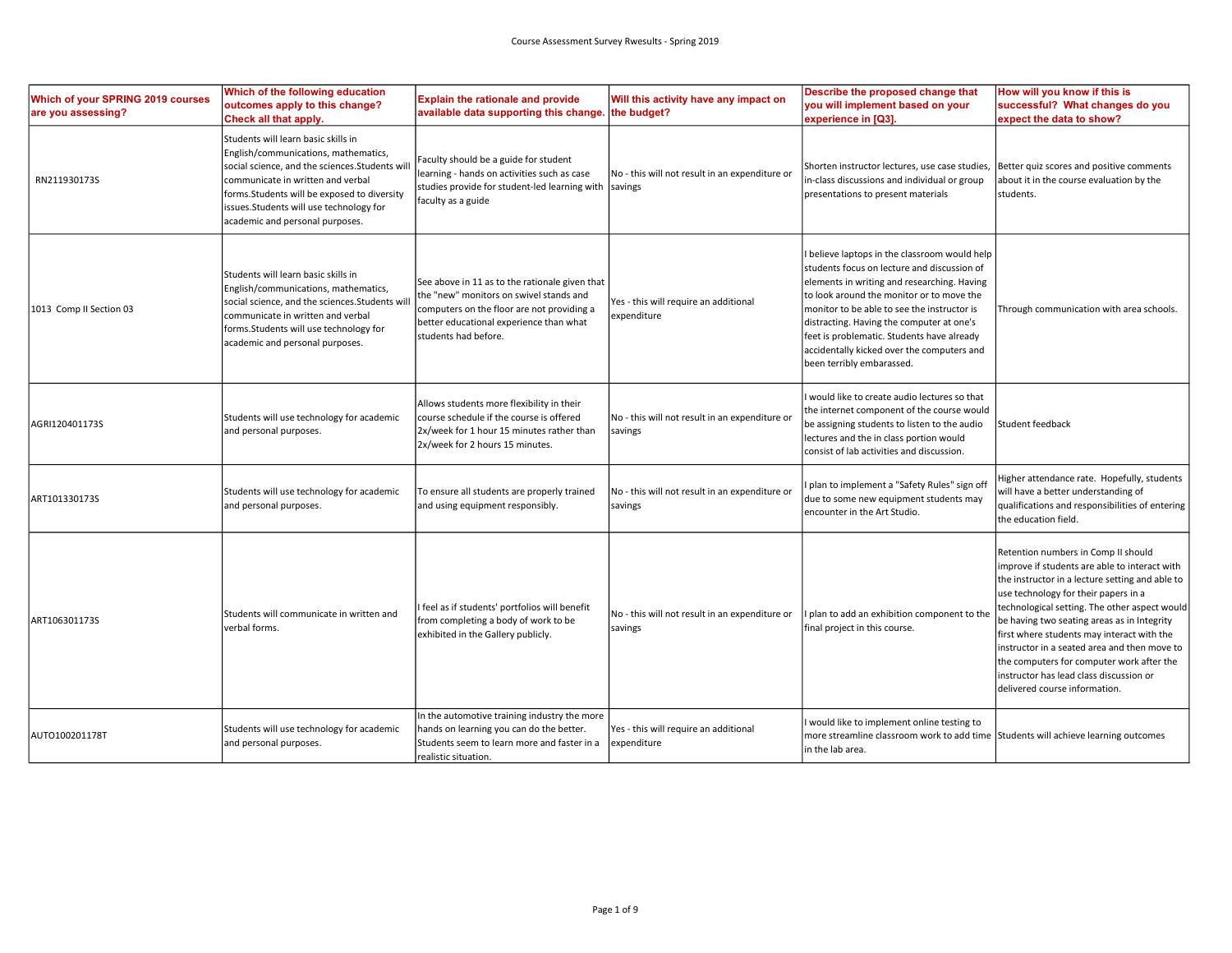| <b>Which of your SPRING 2019 courses</b><br>are you assessing? | Which of the following education<br>outcomes apply to this change?<br>Check all that apply.                                                                                                                                                                                                      | <b>Explain the rationale and provide</b><br>available data supporting this change.                                                                                                                         | Will this activity have any impact on<br>the budget?      | Describe the proposed change that<br>you will implement based on your<br>experience in [Q3].                                                                                                                                                                                                                                                                                                                | How will you know if this is<br>successful? What changes do you<br>expect the data to show?                                                                                                                                                                                                                                                                                                                                                                                                            |
|----------------------------------------------------------------|--------------------------------------------------------------------------------------------------------------------------------------------------------------------------------------------------------------------------------------------------------------------------------------------------|------------------------------------------------------------------------------------------------------------------------------------------------------------------------------------------------------------|-----------------------------------------------------------|-------------------------------------------------------------------------------------------------------------------------------------------------------------------------------------------------------------------------------------------------------------------------------------------------------------------------------------------------------------------------------------------------------------|--------------------------------------------------------------------------------------------------------------------------------------------------------------------------------------------------------------------------------------------------------------------------------------------------------------------------------------------------------------------------------------------------------------------------------------------------------------------------------------------------------|
| RN211930173S                                                   | Students will learn basic skills in<br>English/communications, mathematics,<br>social science, and the sciences. Students wil<br>communicate in written and verbal<br>forms. Students will be exposed to diversity<br>issues.Students will use technology for<br>academic and personal purposes. | Faculty should be a guide for student<br>learning - hands on activities such as case<br>studies provide for student-led learning with<br>faculty as a guide                                                | No - this will not result in an expenditure or<br>savings | Shorten instructor lectures, use case studies,<br>in-class discussions and individual or group<br>presentations to present materials                                                                                                                                                                                                                                                                        | Better quiz scores and positive comments<br>about it in the course evaluation by the<br>students.                                                                                                                                                                                                                                                                                                                                                                                                      |
| 1013 Comp II Section 03                                        | Students will learn basic skills in<br>English/communications, mathematics,<br>social science, and the sciences. Students wi<br>communicate in written and verbal<br>forms.Students will use technology for<br>academic and personal purposes.                                                   | See above in 11 as to the rationale given that<br>the "new" monitors on swivel stands and<br>computers on the floor are not providing a<br>better educational experience than what<br>students had before. | Yes - this will require an additional<br>expenditure      | believe laptops in the classroom would help<br>students focus on lecture and discussion of<br>elements in writing and researching. Having<br>to look around the monitor or to move the<br>monitor to be able to see the instructor is<br>distracting. Having the computer at one's<br>feet is problematic. Students have already<br>accidentally kicked over the computers and<br>been terribly embarassed. | Through communication with area schools.                                                                                                                                                                                                                                                                                                                                                                                                                                                               |
| AGRI120401173S                                                 | Students will use technology for academic<br>and personal purposes.                                                                                                                                                                                                                              | Allows students more flexibility in their<br>course schedule if the course is offered<br>2x/week for 1 hour 15 minutes rather than<br>2x/week for 2 hours 15 minutes.                                      | No - this will not result in an expenditure or<br>savings | I would like to create audio lectures so that<br>the internet component of the course would<br>be assigning students to listen to the audio<br>lectures and the in class portion would<br>consist of lab activities and discussion.                                                                                                                                                                         | Student feedback                                                                                                                                                                                                                                                                                                                                                                                                                                                                                       |
| ART101330173S                                                  | Students will use technology for academic<br>and personal purposes.                                                                                                                                                                                                                              | To ensure all students are properly trained<br>and using equipment responsibly.                                                                                                                            | No - this will not result in an expenditure or<br>savings | plan to implement a "Safety Rules" sign off<br>due to some new equipment students may<br>encounter in the Art Studio.                                                                                                                                                                                                                                                                                       | Higher attendance rate. Hopefully, students<br>will have a better understanding of<br>qualifications and responsibilities of entering<br>the education field.                                                                                                                                                                                                                                                                                                                                          |
| ART106301173S                                                  | Students will communicate in written and<br>verbal forms.                                                                                                                                                                                                                                        | I feel as if students' portfolios will benefit<br>from completing a body of work to be<br>exhibited in the Gallery publicly.                                                                               | No - this will not result in an expenditure or<br>savings | plan to add an exhibition component to the<br>final project in this course.                                                                                                                                                                                                                                                                                                                                 | Retention numbers in Comp II should<br>improve if students are able to interact with<br>the instructor in a lecture setting and able to<br>use technology for their papers in a<br>technological setting. The other aspect would<br>be having two seating areas as in Integrity<br>first where students may interact with the<br>instructor in a seated area and then move to<br>the computers for computer work after the<br>instructor has lead class discussion or<br>delivered course information. |
| AUTO100201178T                                                 | Students will use technology for academic<br>and personal purposes.                                                                                                                                                                                                                              | In the automotive training industry the more<br>hands on learning you can do the better.<br>Students seem to learn more and faster in a<br>realistic situation.                                            | Yes - this will require an additional<br>expenditure      | I would like to implement online testing to<br>more streamline classroom work to add time Students will achieve learning outcomes<br>in the lab area.                                                                                                                                                                                                                                                       |                                                                                                                                                                                                                                                                                                                                                                                                                                                                                                        |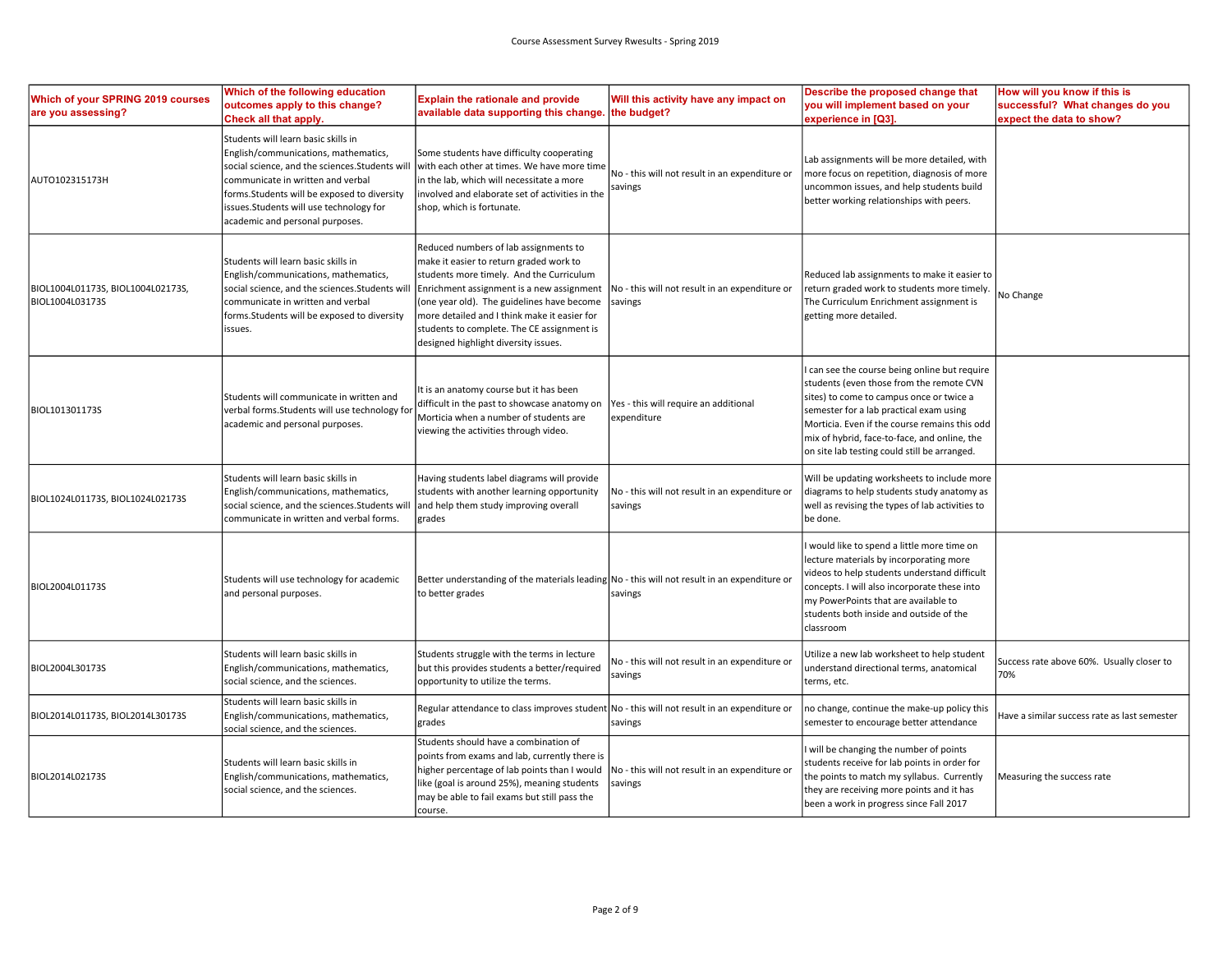| Which of your SPRING 2019 courses<br>are you assessing? | Which of the following education<br>outcomes apply to this change?<br>Check all that apply.                                                                                                                                                                                                       | <b>Explain the rationale and provide</b><br>available data supporting this change. the budget?                                                                                                                                                                                                                                                                | Will this activity have any impact on                     | Describe the proposed change that<br>you will implement based on your<br>experience in [Q3].                                                                                                                                                                                                                                    | How will you know if this is<br>successful? What changes do you<br>expect the data to show? |
|---------------------------------------------------------|---------------------------------------------------------------------------------------------------------------------------------------------------------------------------------------------------------------------------------------------------------------------------------------------------|---------------------------------------------------------------------------------------------------------------------------------------------------------------------------------------------------------------------------------------------------------------------------------------------------------------------------------------------------------------|-----------------------------------------------------------|---------------------------------------------------------------------------------------------------------------------------------------------------------------------------------------------------------------------------------------------------------------------------------------------------------------------------------|---------------------------------------------------------------------------------------------|
| AUTO102315173H                                          | Students will learn basic skills in<br>English/communications, mathematics,<br>social science, and the sciences. Students will<br>communicate in written and verbal<br>forms. Students will be exposed to diversity<br>issues.Students will use technology for<br>academic and personal purposes. | Some students have difficulty cooperating<br>with each other at times. We have more time<br>in the lab, which will necessitate a more<br>involved and elaborate set of activities in the<br>shop, which is fortunate.                                                                                                                                         | No - this will not result in an expenditure or<br>savings | Lab assignments will be more detailed, with<br>more focus on repetition, diagnosis of more<br>uncommon issues, and help students build<br>better working relationships with peers.                                                                                                                                              |                                                                                             |
| BIOL1004L01173S, BIOL1004L02173S,<br>BIOL1004L03173S    | Students will learn basic skills in<br>English/communications, mathematics,<br>social science, and the sciences. Students wi<br>communicate in written and verbal<br>forms. Students will be exposed to diversity<br>issues.                                                                      | Reduced numbers of lab assignments to<br>make it easier to return graded work to<br>students more timely. And the Curriculum<br>Enrichment assignment is a new assignment<br>(one year old). The guidelines have become<br>more detailed and I think make it easier for<br>students to complete. The CE assignment is<br>designed highlight diversity issues. | No - this will not result in an expenditure or<br>savings | Reduced lab assignments to make it easier to<br>return graded work to students more timely.<br>The Curriculum Enrichment assignment is<br>getting more detailed.                                                                                                                                                                | No Change                                                                                   |
| BIOL101301173S                                          | Students will communicate in written and<br>verbal forms.Students will use technology fo<br>academic and personal purposes.                                                                                                                                                                       | It is an anatomy course but it has been<br>difficult in the past to showcase anatomy on<br>Morticia when a number of students are<br>viewing the activities through video.                                                                                                                                                                                    | Yes - this will require an additional<br>expenditure      | can see the course being online but require<br>students (even those from the remote CVN<br>sites) to come to campus once or twice a<br>semester for a lab practical exam using<br>Morticia. Even if the course remains this odd<br>mix of hybrid, face-to-face, and online, the<br>on site lab testing could still be arranged. |                                                                                             |
| BIOL1024L01173S, BIOL1024L02173S                        | Students will learn basic skills in<br>English/communications, mathematics,<br>social science, and the sciences. Students wil<br>communicate in written and verbal forms.                                                                                                                         | Having students label diagrams will provide<br>students with another learning opportunity<br>and help them study improving overall<br>grades                                                                                                                                                                                                                  | No - this will not result in an expenditure or<br>savings | Will be updating worksheets to include more<br>diagrams to help students study anatomy as<br>well as revising the types of lab activities to<br>be done.                                                                                                                                                                        |                                                                                             |
| BIOL2004L01173S                                         | Students will use technology for academic<br>and personal purposes.                                                                                                                                                                                                                               | Better understanding of the materials leading No - this will not result in an expenditure or<br>to better grades                                                                                                                                                                                                                                              | savings                                                   | would like to spend a little more time on<br>lecture materials by incorporating more<br>videos to help students understand difficult<br>concepts. I will also incorporate these into<br>my PowerPoints that are available to<br>students both inside and outside of the<br>classroom                                            |                                                                                             |
| BIOL2004L30173S                                         | Students will learn basic skills in<br>English/communications, mathematics,<br>social science, and the sciences.                                                                                                                                                                                  | Students struggle with the terms in lecture<br>but this provides students a better/required<br>opportunity to utilize the terms.                                                                                                                                                                                                                              | No - this will not result in an expenditure or<br>savings | Utilize a new lab worksheet to help student<br>understand directional terms, anatomical<br>terms, etc.                                                                                                                                                                                                                          | Success rate above 60%. Usually closer to<br>70%                                            |
| BIOL2014L01173S, BIOL2014L30173S                        | Students will learn basic skills in<br>English/communications, mathematics,<br>ocial science, and the sciences.                                                                                                                                                                                   | Regular attendance to class improves student   No - this will not result in an expenditure or<br>grades                                                                                                                                                                                                                                                       | savings                                                   | no change, continue the make-up policy this<br>semester to encourage better attendance                                                                                                                                                                                                                                          | Have a similar success rate as last semester                                                |
| BIOL2014L02173S                                         | Students will learn basic skills in<br>English/communications, mathematics,<br>social science, and the sciences.                                                                                                                                                                                  | Students should have a combination of<br>points from exams and lab, currently there is<br>higher percentage of lab points than I would<br>like (goal is around 25%), meaning students<br>may be able to fail exams but still pass the<br>course.                                                                                                              | No - this will not result in an expenditure or<br>savings | will be changing the number of points<br>students receive for lab points in order for<br>the points to match my syllabus. Currently<br>they are receiving more points and it has<br>been a work in progress since Fall 2017                                                                                                     | Measuring the success rate                                                                  |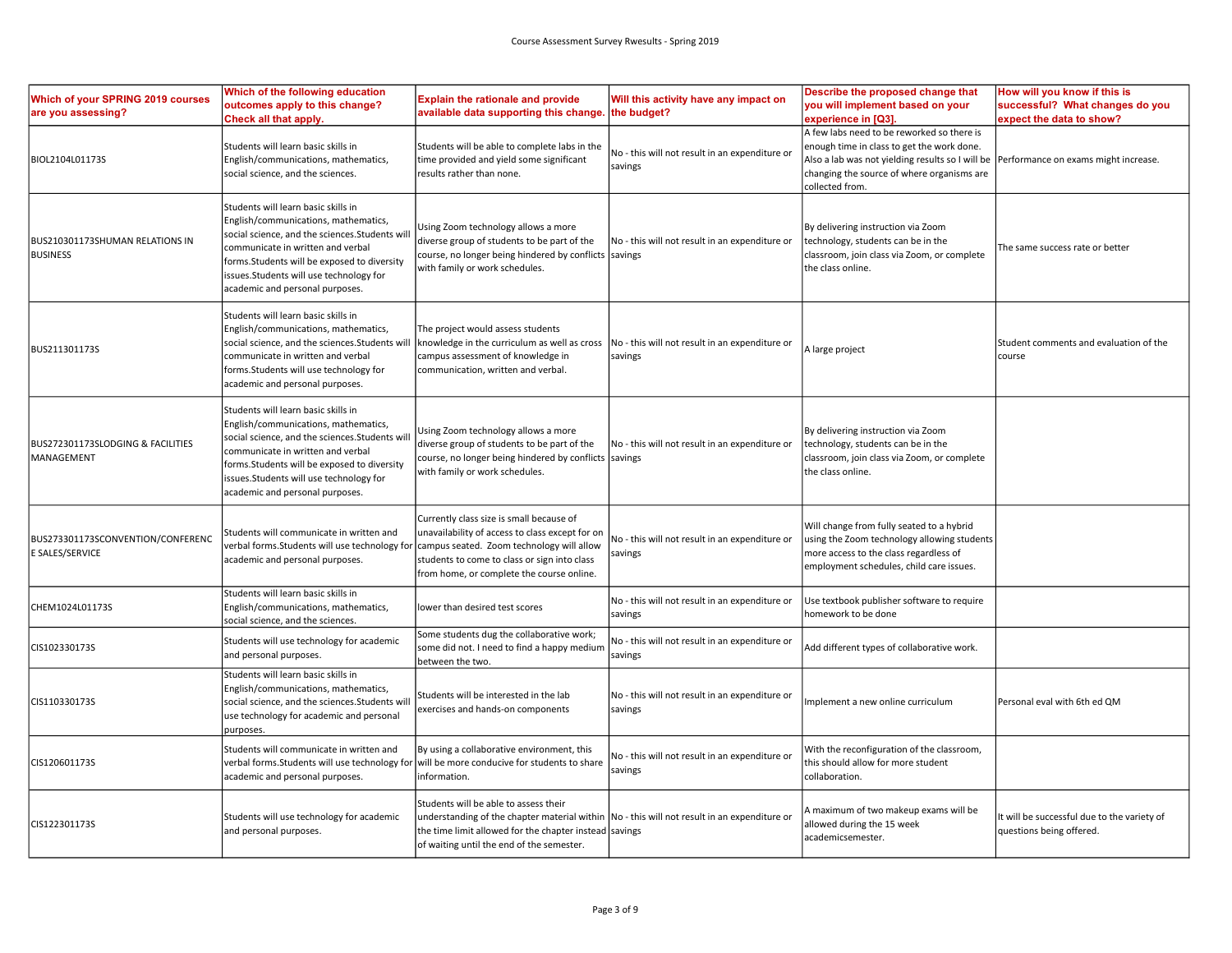| Which of your SPRING 2019 courses<br>are you assessing? | Which of the following education<br>outcomes apply to this change?<br>Check all that apply.                                                                                                                                                                                                        | <b>Explain the rationale and provide</b><br>available data supporting this change                                                                                                                                                             | Will this activity have any impact on<br>the budget?      | Describe the proposed change that<br>you will implement based on your<br>experience in [Q3].                                                                                                                  | How will you know if this is<br>successful? What changes do you<br>expect the data to show? |
|---------------------------------------------------------|----------------------------------------------------------------------------------------------------------------------------------------------------------------------------------------------------------------------------------------------------------------------------------------------------|-----------------------------------------------------------------------------------------------------------------------------------------------------------------------------------------------------------------------------------------------|-----------------------------------------------------------|---------------------------------------------------------------------------------------------------------------------------------------------------------------------------------------------------------------|---------------------------------------------------------------------------------------------|
| BIOL2104L01173S                                         | Students will learn basic skills in<br>English/communications, mathematics,<br>social science, and the sciences.                                                                                                                                                                                   | Students will be able to complete labs in the<br>time provided and yield some significant<br>results rather than none.                                                                                                                        | No - this will not result in an expenditure or<br>savings | A few labs need to be reworked so there is<br>enough time in class to get the work done.<br>Also a lab was not yielding results so I will be<br>changing the source of where organisms are<br>collected from. | Performance on exams might increase.                                                        |
| BUS210301173SHUMAN RELATIONS IN<br><b>BUSINESS</b>      | Students will learn basic skills in<br>English/communications, mathematics,<br>social science, and the sciences. Students will<br>communicate in written and verbal<br>forms. Students will be exposed to diversity<br>issues. Students will use technology for<br>academic and personal purposes. | Using Zoom technology allows a more<br>diverse group of students to be part of the<br>course, no longer being hindered by conflicts savings<br>with family or work schedules.                                                                 | No - this will not result in an expenditure or            | By delivering instruction via Zoom<br>technology, students can be in the<br>classroom, join class via Zoom, or complete<br>the class online.                                                                  | The same success rate or better                                                             |
| BUS211301173S                                           | Students will learn basic skills in<br>English/communications, mathematics,<br>social science, and the sciences. Students will   knowledge in the curriculum as well as cross<br>communicate in written and verbal<br>forms. Students will use technology for<br>academic and personal purposes.   | The project would assess students<br>campus assessment of knowledge in<br>communication, written and verbal.                                                                                                                                  | No - this will not result in an expenditure or<br>savings | A large project                                                                                                                                                                                               | Student comments and evaluation of the<br>course                                            |
| BUS272301173SLODGING & FACILITIES<br>MANAGEMENT         | Students will learn basic skills in<br>English/communications, mathematics,<br>social science, and the sciences. Students wi<br>communicate in written and verbal<br>forms.Students will be exposed to diversity<br>issues.Students will use technology for<br>academic and personal purposes.     | Using Zoom technology allows a more<br>diverse group of students to be part of the<br>course, no longer being hindered by conflicts savings<br>with family or work schedules.                                                                 | No - this will not result in an expenditure or            | By delivering instruction via Zoom<br>technology, students can be in the<br>classroom, join class via Zoom, or complete<br>the class online.                                                                  |                                                                                             |
| BUS273301173SCONVENTION/CONFERENC<br>E SALES/SERVICE    | Students will communicate in written and<br>verbal forms. Students will use technology for campus seated. Zoom technology will allow<br>academic and personal purposes.                                                                                                                            | Currently class size is small because of<br>unavailability of access to class except for on<br>students to come to class or sign into class<br>from home, or complete the course online.                                                      | No - this will not result in an expenditure or<br>savings | Will change from fully seated to a hybrid<br>using the Zoom technology allowing students<br>more access to the class regardless of<br>employment schedules, child care issues.                                |                                                                                             |
| CHEM1024L01173S                                         | Students will learn basic skills in<br>English/communications, mathematics,<br>social science, and the sciences.                                                                                                                                                                                   | lower than desired test scores                                                                                                                                                                                                                | No - this will not result in an expenditure or<br>savings | Use textbook publisher software to require<br>homework to be done                                                                                                                                             |                                                                                             |
| CIS102330173S                                           | Students will use technology for academic<br>and personal purposes.                                                                                                                                                                                                                                | Some students dug the collaborative work;<br>some did not. I need to find a happy medium<br>between the two.                                                                                                                                  | No - this will not result in an expenditure or<br>savings | Add different types of collaborative work.                                                                                                                                                                    |                                                                                             |
| CIS110330173S                                           | Students will learn basic skills in<br>English/communications, mathematics,<br>social science, and the sciences. Students wil<br>use technology for academic and personal<br>purposes.                                                                                                             | Students will be interested in the lab<br>exercises and hands-on components                                                                                                                                                                   | No - this will not result in an expenditure or<br>savings | Implement a new online curriculum                                                                                                                                                                             | Personal eval with 6th ed QM                                                                |
| CIS120601173S                                           | Students will communicate in written and<br>verbal forms.Students will use technology for<br>academic and personal purposes.                                                                                                                                                                       | By using a collaborative environment, this<br>will be more conducive for students to share<br>information.                                                                                                                                    | No - this will not result in an expenditure or<br>savings | With the reconfiguration of the classroom,<br>this should allow for more student<br>collaboration.                                                                                                            |                                                                                             |
| CIS122301173S                                           | Students will use technology for academic<br>and personal purposes.                                                                                                                                                                                                                                | Students will be able to assess their<br>understanding of the chapter material within   No - this will not result in an expenditure or<br>the time limit allowed for the chapter instead savings<br>of waiting until the end of the semester. |                                                           | A maximum of two makeup exams will be<br>allowed during the 15 week<br>academicsemester.                                                                                                                      | t will be successful due to the variety of<br>questions being offered.                      |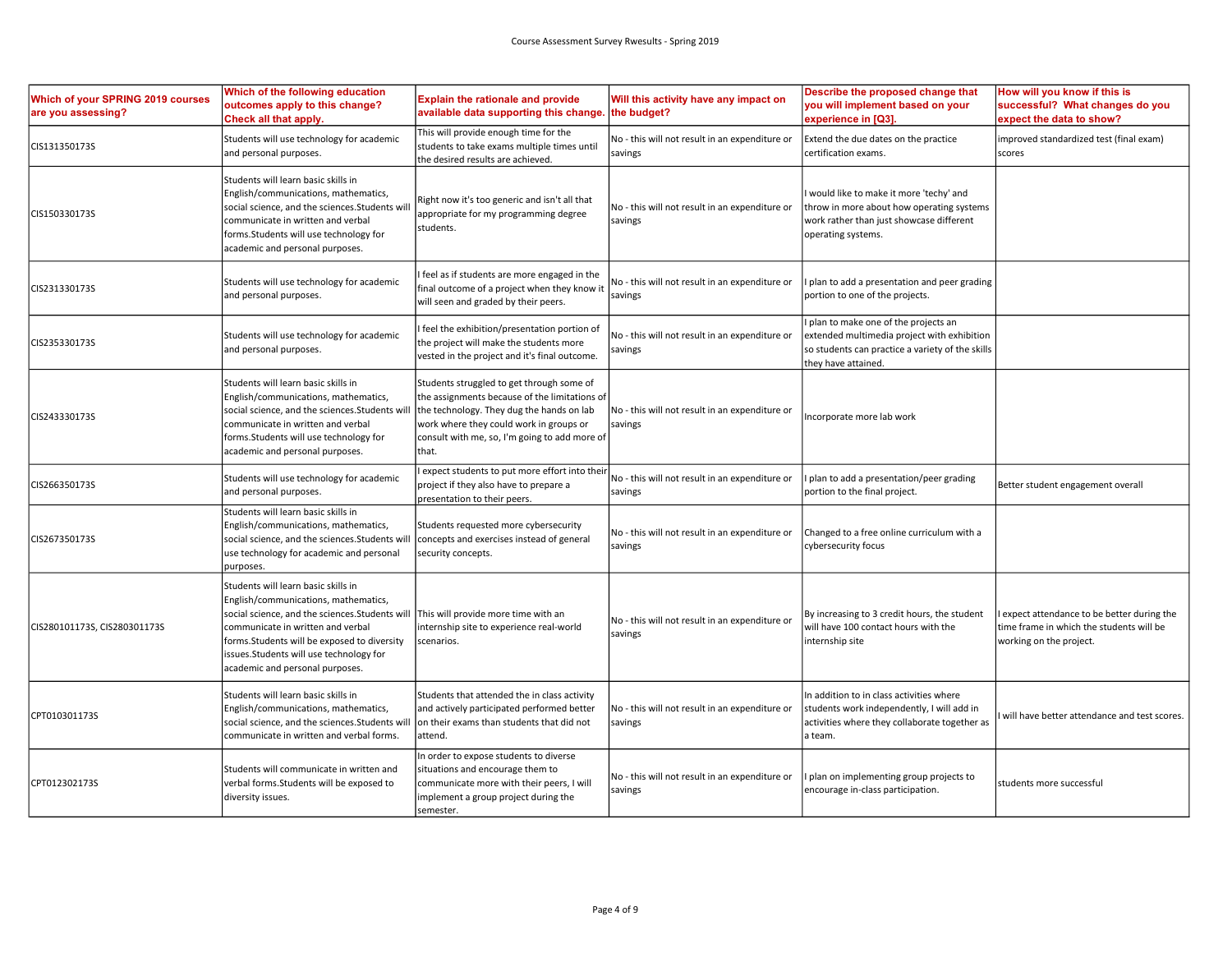| Which of your SPRING 2019 courses<br>are you assessing? | Which of the following education<br>outcomes apply to this change?<br>Check all that apply.                                                                                                                                                                                                                                             | <b>Explain the rationale and provide</b><br>available data supporting this change.                                                                                                                                                           | Will this activity have any impact on<br>the budget?      | Describe the proposed change that<br>you will implement based on your<br>experience in [Q3].                                                                    | How will you know if this is<br>successful? What changes do you<br>expect the data to show?                      |
|---------------------------------------------------------|-----------------------------------------------------------------------------------------------------------------------------------------------------------------------------------------------------------------------------------------------------------------------------------------------------------------------------------------|----------------------------------------------------------------------------------------------------------------------------------------------------------------------------------------------------------------------------------------------|-----------------------------------------------------------|-----------------------------------------------------------------------------------------------------------------------------------------------------------------|------------------------------------------------------------------------------------------------------------------|
| CIS131350173S                                           | Students will use technology for academic<br>and personal purposes.                                                                                                                                                                                                                                                                     | This will provide enough time for the<br>students to take exams multiple times until<br>the desired results are achieved.                                                                                                                    | No - this will not result in an expenditure or<br>savings | Extend the due dates on the practice<br>certification exams.                                                                                                    | improved standardized test (final exam)<br>scores                                                                |
| CIS150330173S                                           | Students will learn basic skills in<br>English/communications, mathematics,<br>social science, and the sciences.Students wi<br>communicate in written and verbal<br>forms.Students will use technology for<br>academic and personal purposes.                                                                                           | Right now it's too generic and isn't all that<br>appropriate for my programming degree<br>students.                                                                                                                                          | No - this will not result in an expenditure or<br>savings | I would like to make it more 'techy' and<br>throw in more about how operating systems<br>work rather than just showcase different<br>operating systems.         |                                                                                                                  |
| CIS231330173S                                           | Students will use technology for academic<br>and personal purposes.                                                                                                                                                                                                                                                                     | feel as if students are more engaged in the<br>final outcome of a project when they know it<br>will seen and graded by their peers.                                                                                                          | No - this will not result in an expenditure or<br>savings | I plan to add a presentation and peer grading<br>portion to one of the projects.                                                                                |                                                                                                                  |
| CIS235330173S                                           | Students will use technology for academic<br>and personal purposes.                                                                                                                                                                                                                                                                     | feel the exhibition/presentation portion of<br>the project will make the students more<br>vested in the project and it's final outcome.                                                                                                      | No - this will not result in an expenditure or<br>savings | I plan to make one of the projects an<br>extended multimedia project with exhibition<br>so students can practice a variety of the skills<br>they have attained. |                                                                                                                  |
| CIS243330173S                                           | Students will learn basic skills in<br>English/communications, mathematics,<br>social science, and the sciences. Students wi<br>communicate in written and verbal<br>forms. Students will use technology for<br>academic and personal purposes.                                                                                         | Students struggled to get through some of<br>the assignments because of the limitations of<br>the technology. They dug the hands on lab<br>work where they could work in groups or<br>consult with me, so, I'm going to add more of<br>that. | No - this will not result in an expenditure or<br>savings | Incorporate more lab work                                                                                                                                       |                                                                                                                  |
| CIS266350173S                                           | Students will use technology for academic<br>and personal purposes.                                                                                                                                                                                                                                                                     | expect students to put more effort into their<br>project if they also have to prepare a<br>presentation to their peers.                                                                                                                      | No - this will not result in an expenditure or<br>savings | I plan to add a presentation/peer grading<br>portion to the final project.                                                                                      | Better student engagement overall                                                                                |
| CIS267350173S                                           | Students will learn basic skills in<br>English/communications, mathematics,<br>social science, and the sciences. Students will<br>use technology for academic and personal<br>purposes                                                                                                                                                  | Students requested more cybersecurity<br>concepts and exercises instead of general<br>security concepts.                                                                                                                                     | No - this will not result in an expenditure or<br>savings | Changed to a free online curriculum with a<br>cybersecurity focus                                                                                               |                                                                                                                  |
| CIS280101173S, CIS280301173S                            | Students will learn basic skills in<br>English/communications, mathematics,<br>social science, and the sciences. Students will   This will provide more time with an<br>communicate in written and verbal<br>forms. Students will be exposed to diversity<br>issues.Students will use technology for<br>academic and personal purposes. | internship site to experience real-world<br>scenarios.                                                                                                                                                                                       | No - this will not result in an expenditure or<br>savings | By increasing to 3 credit hours, the student<br>will have 100 contact hours with the<br>internship site                                                         | expect attendance to be better during the<br>time frame in which the students will be<br>working on the project. |
| CPT010301173S                                           | Students will learn basic skills in<br>English/communications, mathematics,<br>social science, and the sciences.Students will<br>communicate in written and verbal forms.                                                                                                                                                               | Students that attended the in class activity<br>and actively participated performed better<br>on their exams than students that did not<br>attend.                                                                                           | No - this will not result in an expenditure or<br>savings | In addition to in class activities where<br>students work independently, I will add in<br>activities where they collaborate together as<br>la team.             | will have better attendance and test scores.                                                                     |
| CPT012302173S                                           | Students will communicate in written and<br>verbal forms.Students will be exposed to<br>diversity issues.                                                                                                                                                                                                                               | In order to expose students to diverse<br>situations and encourage them to<br>communicate more with their peers, I will<br>implement a group project during the<br>semester.                                                                 | No - this will not result in an expenditure or<br>savings | I plan on implementing group projects to<br>encourage in-class participation.                                                                                   | students more successful                                                                                         |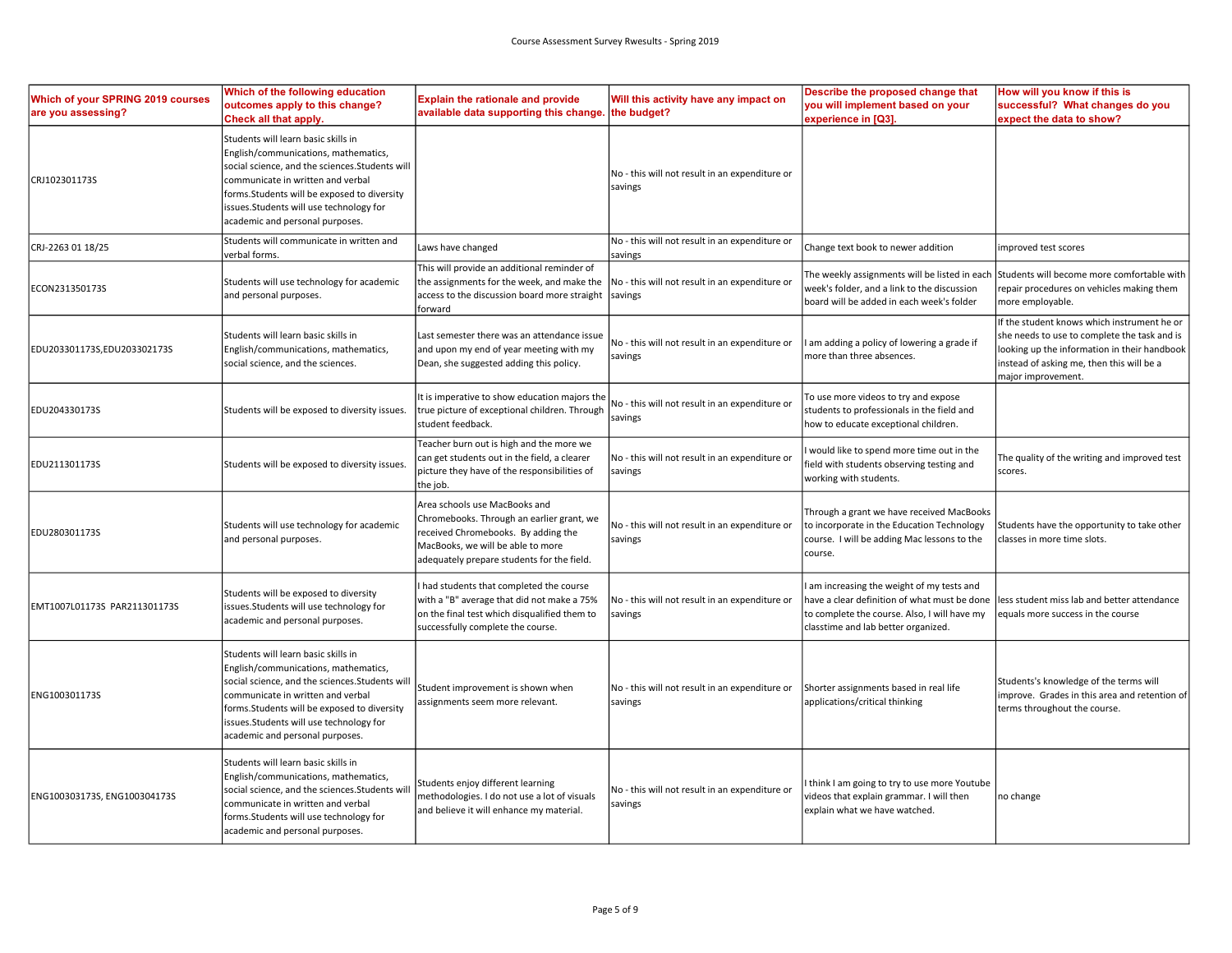| Which of your SPRING 2019 courses<br>are you assessing? | Which of the following education<br>outcomes apply to this change?<br>Check all that apply.                                                                                                                                                                                                     | <b>Explain the rationale and provide</b><br>available data supporting this change.                                                                                                                   | Will this activity have any impact on<br>the budget?      | Describe the proposed change that<br>you will implement based on your<br>experience in [Q3].                                                                                    | How will you know if this is<br>successful? What changes do you<br>expect the data to show?                                                                                                                    |
|---------------------------------------------------------|-------------------------------------------------------------------------------------------------------------------------------------------------------------------------------------------------------------------------------------------------------------------------------------------------|------------------------------------------------------------------------------------------------------------------------------------------------------------------------------------------------------|-----------------------------------------------------------|---------------------------------------------------------------------------------------------------------------------------------------------------------------------------------|----------------------------------------------------------------------------------------------------------------------------------------------------------------------------------------------------------------|
| CRJ102301173S                                           | Students will learn basic skills in<br>English/communications, mathematics,<br>social science, and the sciences.Students will<br>communicate in written and verbal<br>forms.Students will be exposed to diversity<br>issues.Students will use technology for<br>academic and personal purposes. |                                                                                                                                                                                                      | No - this will not result in an expenditure or<br>savings |                                                                                                                                                                                 |                                                                                                                                                                                                                |
| CRJ-2263 01 18/25                                       | Students will communicate in written and<br>verbal forms.                                                                                                                                                                                                                                       | Laws have changed                                                                                                                                                                                    | No - this will not result in an expenditure or<br>savings | Change text book to newer addition                                                                                                                                              | mproved test scores                                                                                                                                                                                            |
| ECON231350173S                                          | Students will use technology for academic<br>and personal purposes.                                                                                                                                                                                                                             | This will provide an additional reminder of<br>the assignments for the week, and make the<br>access to the discussion board more straight<br>forward                                                 | No - this will not result in an expenditure or<br>savings | The weekly assignments will be listed in each<br>week's folder, and a link to the discussion<br>board will be added in each week's folder                                       | Students will become more comfortable with<br>repair procedures on vehicles making them<br>more employable.                                                                                                    |
| EDU203301173S,EDU203302173S                             | Students will learn basic skills in<br>English/communications, mathematics,<br>social science, and the sciences.                                                                                                                                                                                | Last semester there was an attendance issue<br>and upon my end of year meeting with my<br>Dean, she suggested adding this policy.                                                                    | No - this will not result in an expenditure or<br>savings | am adding a policy of lowering a grade if<br>more than three absences.                                                                                                          | If the student knows which instrument he or<br>she needs to use to complete the task and is<br>looking up the information in their handbook<br>instead of asking me, then this will be a<br>major improvement. |
| EDU204330173S                                           | Students will be exposed to diversity issues.                                                                                                                                                                                                                                                   | It is imperative to show education majors the<br>true picture of exceptional children. Through<br>student feedback.                                                                                  | No - this will not result in an expenditure or<br>savings | To use more videos to try and expose<br>students to professionals in the field and<br>how to educate exceptional children.                                                      |                                                                                                                                                                                                                |
| EDU211301173S                                           | Students will be exposed to diversity issues                                                                                                                                                                                                                                                    | Teacher burn out is high and the more we<br>can get students out in the field, a clearer<br>picture they have of the responsibilities of<br>the job.                                                 | No - this will not result in an expenditure or<br>savings | would like to spend more time out in the<br>field with students observing testing and<br>working with students.                                                                 | The quality of the writing and improved test<br>scores.                                                                                                                                                        |
| EDU280301173S                                           | Students will use technology for academic<br>and personal purposes.                                                                                                                                                                                                                             | Area schools use MacBooks and<br>Chromebooks. Through an earlier grant, we<br>received Chromebooks. By adding the<br>MacBooks, we will be able to more<br>adequately prepare students for the field. | No - this will not result in an expenditure or<br>savings | Through a grant we have received MacBooks<br>to incorporate in the Education Technology<br>course. I will be adding Mac lessons to the<br>course.                               | Students have the opportunity to take other<br>classes in more time slots.                                                                                                                                     |
| EMT1007L01173S PAR211301173S                            | Students will be exposed to diversity<br>issues.Students will use technology for<br>academic and personal purposes.                                                                                                                                                                             | had students that completed the course<br>with a "B" average that did not make a 75%<br>on the final test which disqualified them to<br>successfully complete the course.                            | No - this will not result in an expenditure or<br>savings | am increasing the weight of my tests and<br>have a clear definition of what must be done<br>to complete the course. Also, I will have my<br>classtime and lab better organized. | less student miss lab and better attendance<br>equals more success in the course                                                                                                                               |
| ENG100301173S                                           | Students will learn basic skills in<br>English/communications, mathematics,<br>social science, and the sciences. Students will<br>communicate in written and verbal<br>forms.Students will be exposed to diversity<br>ssues.Students will use technology for<br>academic and personal purposes. | Student improvement is shown when<br>assignments seem more relevant.                                                                                                                                 | No - this will not result in an expenditure or<br>savings | Shorter assignments based in real life<br>applications/critical thinking                                                                                                        | Students's knowledge of the terms will<br>improve. Grades in this area and retention of<br>terms throughout the course.                                                                                        |
| ENG100303173S, ENG100304173S                            | Students will learn basic skills in<br>English/communications, mathematics,<br>social science, and the sciences.Students wil<br>communicate in written and verbal<br>forms. Students will use technology for<br>academic and personal purposes.                                                 | Students enjoy different learning<br>methodologies. I do not use a lot of visuals<br>and believe it will enhance my material.                                                                        | No - this will not result in an expenditure or<br>savings | think I am going to try to use more Youtube<br>videos that explain grammar. I will then<br>explain what we have watched.                                                        | no change                                                                                                                                                                                                      |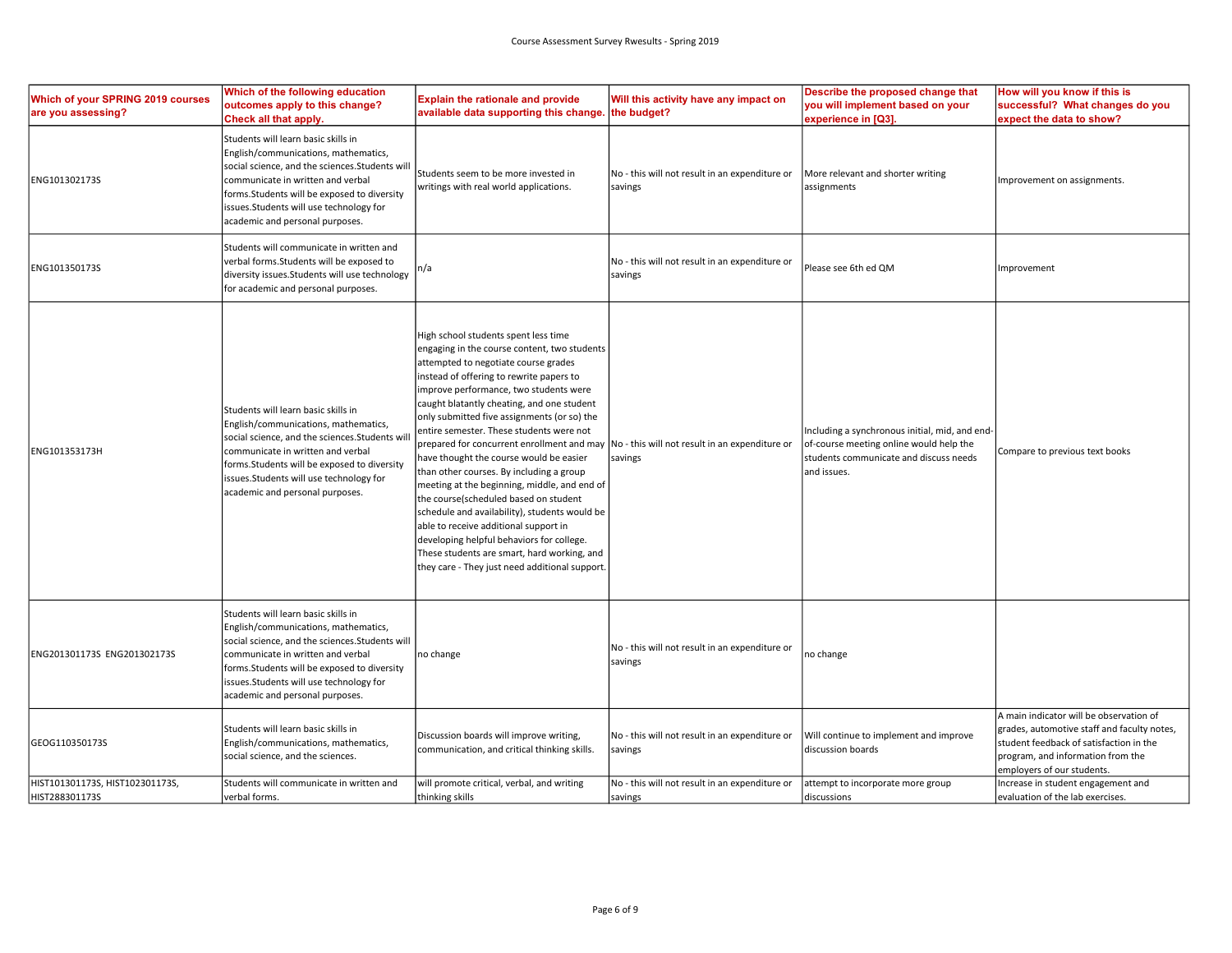| Which of your SPRING 2019 courses<br>are you assessing? | Which of the following education<br>outcomes apply to this change?<br>Check all that apply.                                                                                                                                                                                                       | <b>Explain the rationale and provide</b><br>available data supporting this change.                                                                                                                                                                                                                                                                                                                                                                                                                                                                                                                                                                                                                                                                                                                                                | Will this activity have any impact on<br>the budget?      | Describe the proposed change that<br>you will implement based on your<br>experience in [Q3].                                                       | How will you know if this is<br>successful? What changes do you<br>expect the data to show?                                                                                                          |
|---------------------------------------------------------|---------------------------------------------------------------------------------------------------------------------------------------------------------------------------------------------------------------------------------------------------------------------------------------------------|-----------------------------------------------------------------------------------------------------------------------------------------------------------------------------------------------------------------------------------------------------------------------------------------------------------------------------------------------------------------------------------------------------------------------------------------------------------------------------------------------------------------------------------------------------------------------------------------------------------------------------------------------------------------------------------------------------------------------------------------------------------------------------------------------------------------------------------|-----------------------------------------------------------|----------------------------------------------------------------------------------------------------------------------------------------------------|------------------------------------------------------------------------------------------------------------------------------------------------------------------------------------------------------|
| ENG101302173S                                           | Students will learn basic skills in<br>English/communications, mathematics,<br>social science, and the sciences.Students wil<br>communicate in written and verbal<br>forms. Students will be exposed to diversity<br>issues.Students will use technology for<br>academic and personal purposes.   | Students seem to be more invested in<br>writings with real world applications.                                                                                                                                                                                                                                                                                                                                                                                                                                                                                                                                                                                                                                                                                                                                                    | No - this will not result in an expenditure or<br>savings | More relevant and shorter writing<br>assignments                                                                                                   | Improvement on assignments.                                                                                                                                                                          |
| ENG101350173S                                           | Students will communicate in written and<br>verbal forms. Students will be exposed to<br>diversity issues. Students will use technology<br>for academic and personal purposes.                                                                                                                    | n/a                                                                                                                                                                                                                                                                                                                                                                                                                                                                                                                                                                                                                                                                                                                                                                                                                               | No - this will not result in an expenditure or<br>savings | Please see 6th ed QM                                                                                                                               | Improvement                                                                                                                                                                                          |
| ENG101353173H                                           | Students will learn basic skills in<br>English/communications, mathematics,<br>social science, and the sciences.Students wi<br>communicate in written and verbal<br>forms. Students will be exposed to diversity<br>issues.Students will use technology for<br>academic and personal purposes.    | High school students spent less time<br>engaging in the course content, two students<br>attempted to negotiate course grades<br>instead of offering to rewrite papers to<br>improve performance, two students were<br>caught blatantly cheating, and one student<br>only submitted five assignments (or so) the<br>entire semester. These students were not<br>prepared for concurrent enrollment and may<br>have thought the course would be easier<br>than other courses. By including a group<br>meeting at the beginning, middle, and end of<br>the course(scheduled based on student<br>schedule and availability), students would be<br>able to receive additional support in<br>developing helpful behaviors for college.<br>These students are smart, hard working, and<br>they care - They just need additional support. | No - this will not result in an expenditure or<br>savings | Including a synchronous initial, mid, and end-<br>of-course meeting online would help the<br>students communicate and discuss needs<br>and issues. | Compare to previous text books                                                                                                                                                                       |
| ENG201301173S ENG201302173S                             | Students will learn basic skills in<br>English/communications, mathematics,<br>social science, and the sciences. Students will<br>communicate in written and verbal<br>forms. Students will be exposed to diversity<br>issues.Students will use technology for<br>academic and personal purposes. | no change                                                                                                                                                                                                                                                                                                                                                                                                                                                                                                                                                                                                                                                                                                                                                                                                                         | No - this will not result in an expenditure or<br>savings | no change                                                                                                                                          |                                                                                                                                                                                                      |
| GEOG110350173S                                          | Students will learn basic skills in<br>English/communications, mathematics,<br>social science, and the sciences.                                                                                                                                                                                  | Discussion boards will improve writing,<br>communication, and critical thinking skills.                                                                                                                                                                                                                                                                                                                                                                                                                                                                                                                                                                                                                                                                                                                                           | No - this will not result in an expenditure or<br>savings | Will continue to implement and improve<br>discussion boards                                                                                        | A main indicator will be observation of<br>grades, automotive staff and faculty notes,<br>student feedback of satisfaction in the<br>program, and information from the<br>employers of our students. |
| HIST101301173S, HIST102301173S,<br>HIST288301173S       | Students will communicate in written and<br>verbal forms.                                                                                                                                                                                                                                         | will promote critical, verbal, and writing<br>thinking skills                                                                                                                                                                                                                                                                                                                                                                                                                                                                                                                                                                                                                                                                                                                                                                     | No - this will not result in an expenditure or<br>savings | attempt to incorporate more group<br>discussions                                                                                                   | Increase in student engagement and<br>evaluation of the lab exercises.                                                                                                                               |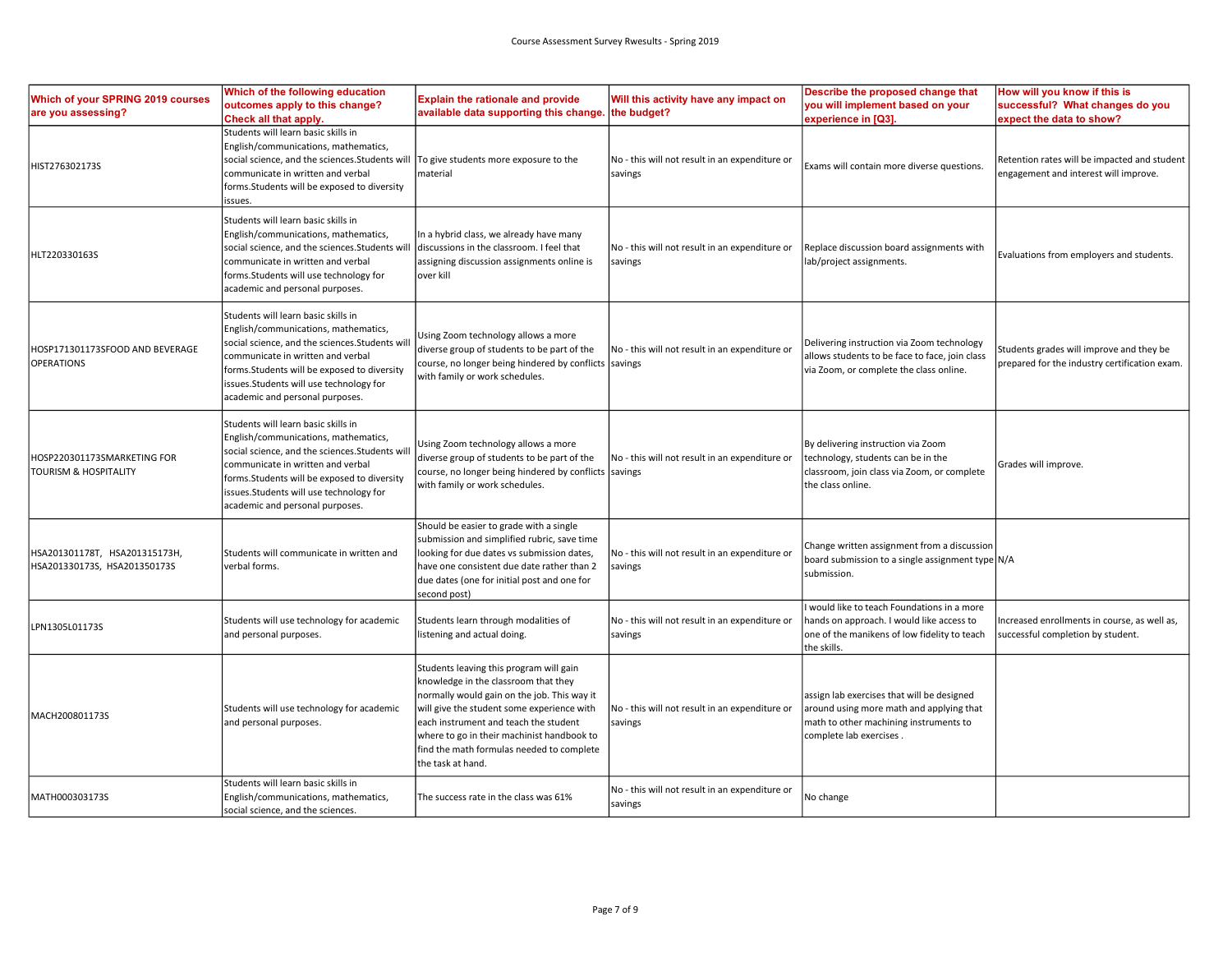| Which of your SPRING 2019 courses<br>are you assessing?         | Which of the following education<br>outcomes apply to this change?<br>Check all that apply.                                                                                                                                                                                                    | <b>Explain the rationale and provide</b><br>available data supporting this change. the budget?                                                                                                                                                                                                                                        | Will this activity have any impact on                     | Describe the proposed change that<br>you will implement based on your<br>experience in [Q3].                                                                | How will you know if this is<br>successful? What changes do you<br>expect the data to show? |
|-----------------------------------------------------------------|------------------------------------------------------------------------------------------------------------------------------------------------------------------------------------------------------------------------------------------------------------------------------------------------|---------------------------------------------------------------------------------------------------------------------------------------------------------------------------------------------------------------------------------------------------------------------------------------------------------------------------------------|-----------------------------------------------------------|-------------------------------------------------------------------------------------------------------------------------------------------------------------|---------------------------------------------------------------------------------------------|
| HIST276302173S                                                  | Students will learn basic skills in<br>English/communications, mathematics,<br>social science, and the sciences.Students will<br>communicate in written and verbal<br>forms. Students will be exposed to diversity<br>issues.                                                                  | To give students more exposure to the<br>material                                                                                                                                                                                                                                                                                     | No - this will not result in an expenditure or<br>savings | Exams will contain more diverse questions.                                                                                                                  | Retention rates will be impacted and student<br>engagement and interest will improve.       |
| HLT220330163S                                                   | Students will learn basic skills in<br>English/communications, mathematics,<br>social science, and the sciences.Students wil<br>communicate in written and verbal<br>forms.Students will use technology for<br>academic and personal purposes.                                                 | In a hybrid class, we already have many<br>discussions in the classroom. I feel that<br>assigning discussion assignments online is<br>over kill                                                                                                                                                                                       | No - this will not result in an expenditure or<br>savings | Replace discussion board assignments with<br>lab/project assignments.                                                                                       | Evaluations from employers and students.                                                    |
| HOSP171301173SFOOD AND BEVERAGE<br><b>OPERATIONS</b>            | Students will learn basic skills in<br>English/communications, mathematics,<br>social science, and the sciences.Students wi<br>communicate in written and verbal<br>forms. Students will be exposed to diversity<br>issues.Students will use technology for<br>academic and personal purposes. | Using Zoom technology allows a more<br>diverse group of students to be part of the<br>course, no longer being hindered by conflicts savings<br>with family or work schedules.                                                                                                                                                         | No - this will not result in an expenditure or            | Delivering instruction via Zoom technology<br>allows students to be face to face, join class<br>via Zoom, or complete the class online.                     | Students grades will improve and they be<br>prepared for the industry certification exam.   |
| HOSP220301173SMARKETING FOR<br><b>TOURISM &amp; HOSPITALITY</b> | Students will learn basic skills in<br>English/communications, mathematics,<br>social science, and the sciences.Students wi<br>communicate in written and verbal<br>forms. Students will be exposed to diversity<br>issues.Students will use technology for<br>academic and personal purposes. | Using Zoom technology allows a more<br>diverse group of students to be part of the<br>course, no longer being hindered by conflicts savings<br>with family or work schedules.                                                                                                                                                         | No - this will not result in an expenditure or            | By delivering instruction via Zoom<br>technology, students can be in the<br>classroom, join class via Zoom, or complete<br>the class online.                | Grades will improve.                                                                        |
| HSA201301178T, HSA201315173H,<br>HSA201330173S, HSA201350173S   | Students will communicate in written and<br>verbal forms.                                                                                                                                                                                                                                      | Should be easier to grade with a single<br>submission and simplified rubric, save time<br>looking for due dates vs submission dates,<br>have one consistent due date rather than 2<br>due dates (one for initial post and one for<br>second post)                                                                                     | No - this will not result in an expenditure or<br>savings | Change written assignment from a discussion<br>board submission to a single assignment type N/A<br>submission.                                              |                                                                                             |
| LPN1305L01173S                                                  | Students will use technology for academic<br>and personal purposes.                                                                                                                                                                                                                            | Students learn through modalities of<br>listening and actual doing.                                                                                                                                                                                                                                                                   | No - this will not result in an expenditure or<br>savings | I would like to teach Foundations in a more<br>hands on approach. I would like access to<br>one of the manikens of low fidelity to teach<br>the skills.     | Increased enrollments in course, as well as,<br>successful completion by student.           |
| MACH200801173S                                                  | Students will use technology for academic<br>and personal purposes.                                                                                                                                                                                                                            | Students leaving this program will gain<br>knowledge in the classroom that they<br>normally would gain on the job. This way it<br>will give the student some experience with<br>each instrument and teach the student<br>where to go in their machinist handbook to<br>find the math formulas needed to complete<br>the task at hand. | No - this will not result in an expenditure or<br>savings | assign lab exercises that will be designed<br>around using more math and applying that<br>math to other machining instruments to<br>complete lab exercises. |                                                                                             |
| MATH000303173S                                                  | Students will learn basic skills in<br>English/communications, mathematics,<br>social science, and the sciences.                                                                                                                                                                               | The success rate in the class was 61%                                                                                                                                                                                                                                                                                                 | No - this will not result in an expenditure or<br>savings | No change                                                                                                                                                   |                                                                                             |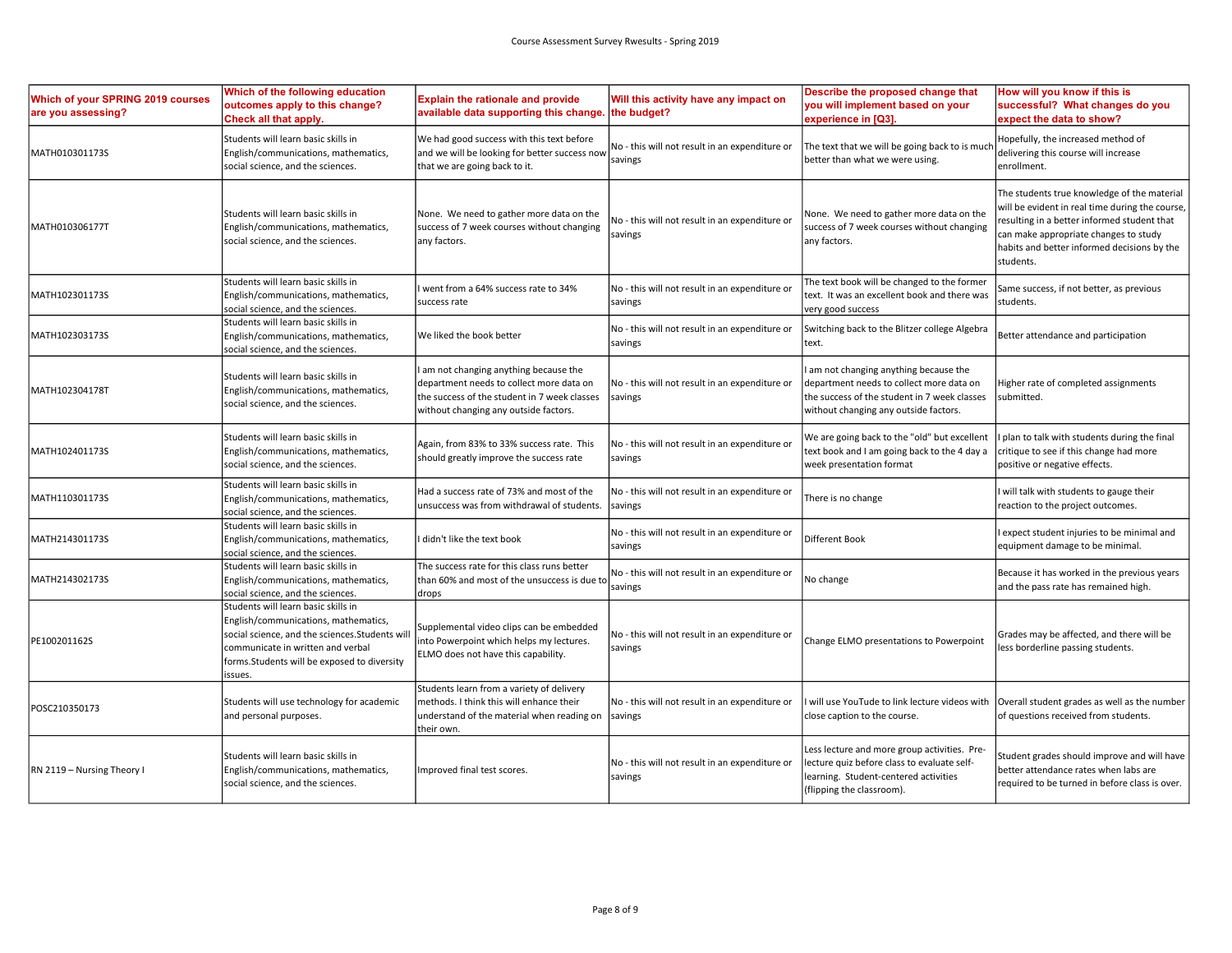| Which of your SPRING 2019 courses<br>are you assessing? | Which of the following education<br>outcomes apply to this change?<br>Check all that apply.                                                                                                                                  | <b>Explain the rationale and provide</b><br>available data supporting this change.                                                                                        | Will this activity have any impact on<br>the budget?      | Describe the proposed change that<br>you will implement based on your<br>experience in [Q3].                                                                                | How will you know if this is<br>successful? What changes do you<br>expect the data to show?                                                                                                                                                        |
|---------------------------------------------------------|------------------------------------------------------------------------------------------------------------------------------------------------------------------------------------------------------------------------------|---------------------------------------------------------------------------------------------------------------------------------------------------------------------------|-----------------------------------------------------------|-----------------------------------------------------------------------------------------------------------------------------------------------------------------------------|----------------------------------------------------------------------------------------------------------------------------------------------------------------------------------------------------------------------------------------------------|
| MATH010301173S                                          | Students will learn basic skills in<br>English/communications, mathematics,<br>social science, and the sciences.                                                                                                             | We had good success with this text before<br>and we will be looking for better success now<br>that we are going back to it.                                               | No - this will not result in an expenditure or<br>savings | The text that we will be going back to is much<br>better than what we were using.                                                                                           | Hopefully, the increased method of<br>delivering this course will increase<br>enrollment.                                                                                                                                                          |
| MATH010306177T                                          | Students will learn basic skills in<br>English/communications, mathematics,<br>social science, and the sciences.                                                                                                             | None. We need to gather more data on the<br>success of 7 week courses without changing<br>any factors.                                                                    | No - this will not result in an expenditure or<br>savings | None. We need to gather more data on the<br>success of 7 week courses without changing<br>any factors.                                                                      | The students true knowledge of the material<br>will be evident in real time during the course,<br>resulting in a better informed student that<br>can make appropriate changes to study<br>habits and better informed decisions by the<br>students. |
| MATH102301173S                                          | Students will learn basic skills in<br>English/communications, mathematics,<br>social science, and the sciences.                                                                                                             | went from a 64% success rate to 34%<br>success rate                                                                                                                       | No - this will not result in an expenditure or<br>savings | The text book will be changed to the former<br>text. It was an excellent book and there was<br>very good success                                                            | Same success, if not better, as previous<br>students.                                                                                                                                                                                              |
| MATH102303173S                                          | Students will learn basic skills in<br>English/communications, mathematics,<br>social science, and the sciences.                                                                                                             | We liked the book better                                                                                                                                                  | No - this will not result in an expenditure or<br>savings | Switching back to the Blitzer college Algebra<br>text.                                                                                                                      | Better attendance and participation                                                                                                                                                                                                                |
| MATH102304178T                                          | Students will learn basic skills in<br>English/communications, mathematics,<br>social science, and the sciences.                                                                                                             | am not changing anything because the<br>department needs to collect more data on<br>the success of the student in 7 week classes<br>without changing any outside factors. | No - this will not result in an expenditure or<br>savings | I am not changing anything because the<br>department needs to collect more data on<br>the success of the student in 7 week classes<br>without changing any outside factors. | Higher rate of completed assignments<br>submitted.                                                                                                                                                                                                 |
| MATH102401173S                                          | Students will learn basic skills in<br>English/communications, mathematics,<br>social science, and the sciences.                                                                                                             | Again, from 83% to 33% success rate. This<br>should greatly improve the success rate                                                                                      | No - this will not result in an expenditure or<br>savings | We are going back to the "old" but excellent<br>text book and I am going back to the 4 day a<br>week presentation format                                                    | plan to talk with students during the final<br>critique to see if this change had more<br>positive or negative effects.                                                                                                                            |
| MATH110301173S                                          | Students will learn basic skills in<br>English/communications, mathematics,<br>social science, and the sciences.                                                                                                             | Had a success rate of 73% and most of the<br>unsuccess was from withdrawal of students.                                                                                   | No - this will not result in an expenditure or<br>savings | There is no change                                                                                                                                                          | will talk with students to gauge their<br>reaction to the project outcomes.                                                                                                                                                                        |
| MATH214301173S                                          | Students will learn basic skills in<br>English/communications, mathematics,<br>social science, and the sciences.                                                                                                             | I didn't like the text book                                                                                                                                               | No - this will not result in an expenditure or<br>savings | Different Book                                                                                                                                                              | expect student injuries to be minimal and<br>equipment damage to be minimal.                                                                                                                                                                       |
| MATH214302173S                                          | Students will learn basic skills in<br>English/communications, mathematics,<br>social science, and the sciences.                                                                                                             | The success rate for this class runs better<br>than 60% and most of the unsuccess is due to<br>drops                                                                      | No - this will not result in an expenditure or<br>savings | No change                                                                                                                                                                   | Because it has worked in the previous years<br>and the pass rate has remained high.                                                                                                                                                                |
| PE100201162S                                            | Students will learn basic skills in<br>English/communications, mathematics,<br>social science, and the sciences. Students wi<br>communicate in written and verbal<br>forms. Students will be exposed to diversity<br>issues. | Supplemental video clips can be embedded<br>into Powerpoint which helps my lectures.<br>ELMO does not have this capability.                                               | No - this will not result in an expenditure or<br>savings | Change ELMO presentations to Powerpoint                                                                                                                                     | Grades may be affected, and there will be<br>less borderline passing students.                                                                                                                                                                     |
| POSC210350173                                           | Students will use technology for academic<br>and personal purposes.                                                                                                                                                          | Students learn from a variety of delivery<br>methods. I think this will enhance their<br>understand of the material when reading on<br>their own.                         | No - this will not result in an expenditure or<br>savings | I will use YouTude to link lecture videos with<br>close caption to the course.                                                                                              | Overall student grades as well as the number<br>of questions received from students.                                                                                                                                                               |
| RN 2119 - Nursing Theory I                              | Students will learn basic skills in<br>English/communications, mathematics,<br>social science, and the sciences.                                                                                                             | Improved final test scores.                                                                                                                                               | No - this will not result in an expenditure or<br>savings | Less lecture and more group activities. Pre-<br>lecture quiz before class to evaluate self-<br>learning. Student-centered activities<br>(flipping the classroom).           | Student grades should improve and will have<br>better attendance rates when labs are<br>required to be turned in before class is over.                                                                                                             |